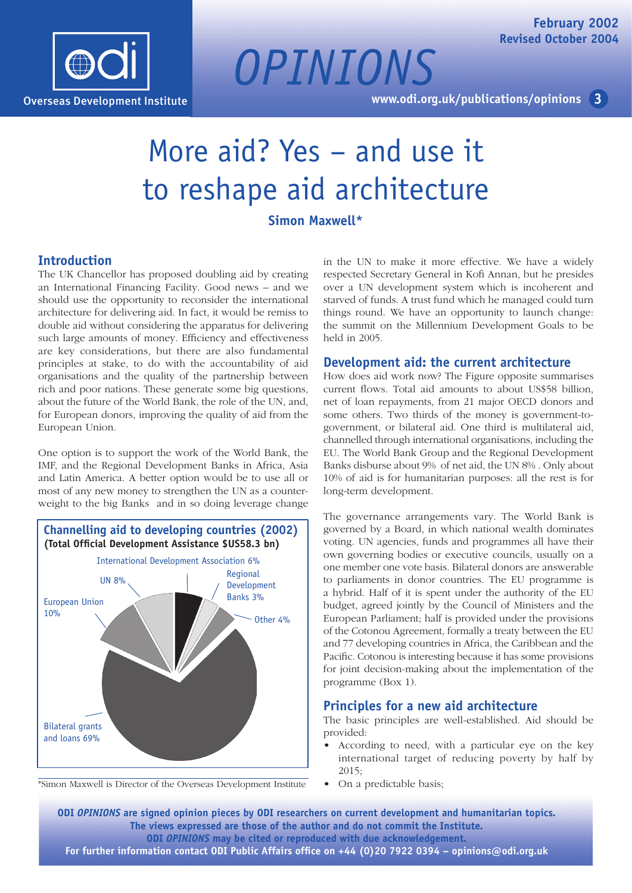

**3 [www.odi.org.uk/publications/opinions](http://www.odi.org.uk/publications/opinions/)**

# More aid? Yes – and use it to reshape aid architecture

*OPINIONS*

# **Simon Maxwell\***

# **Introduction**

The UK Chancellor has proposed doubling aid by creating an International Financing Facility. Good news – and we should use the opportunity to reconsider the international architecture for delivering aid. In fact, it would be remiss to double aid without considering the apparatus for delivering such large amounts of money. Efficiency and effectiveness are key considerations, but there are also fundamental principles at stake, to do with the accountability of aid organisations and the quality of the partnership between rich and poor nations. These generate some big questions, about the future of the World Bank, the role of the UN, and, for European donors, improving the quality of aid from the European Union.

One option is to support the work of the World Bank, the IMF, and the Regional Development Banks in Africa, Asia and Latin America. A better option would be to use all or most of any new money to strengthen the UN as a counterweight to the big Banks and in so doing leverage change



\*Simon Maxwell is Director of the Overseas Development Institute

in the UN to make it more effective. We have a widely respected Secretary General in Kofi Annan, but he presides over a UN development system which is incoherent and starved of funds. A trust fund which he managed could turn things round. We have an opportunity to launch change: the summit on the Millennium Development Goals to be held in 2005.

#### **Development aid: the current architecture**

How does aid work now? The Figure opposite summarises current flows. Total aid amounts to about US\$58 billion, net of loan repayments, from 21 major OECD donors and some others. Two thirds of the money is government-togovernment, or bilateral aid. One third is multilateral aid, channelled through international organisations, including the EU. The World Bank Group and the Regional Development Banks disburse about 9% of net aid, the UN 8% . Only about 10% of aid is for humanitarian purposes: all the rest is for long-term development.

The governance arrangements vary. The World Bank is governed by a Board, in which national wealth dominates voting. UN agencies, funds and programmes all have their own governing bodies or executive councils, usually on a one member one vote basis. Bilateral donors are answerable to parliaments in donor countries. The EU programme is a hybrid. Half of it is spent under the authority of the EU budget, agreed jointly by the Council of Ministers and the European Parliament; half is provided under the provisions of the Cotonou Agreement, formally a treaty between the EU and 77 developing countries in Africa, the Caribbean and the Pacific. Cotonou is interesting because it has some provisions for joint decision-making about the implementation of the programme (Box 1).

### **Principles for a new aid architecture**

The basic principles are well-established. Aid should be provided:

- According to need, with a particular eye on the key international target of reducing poverty by half by 2015;
- On a predictable basis;

**ODI** *OPINIONS* **are signed opinion pieces by ODI researchers on current development and humanitarian topics. The views expressed are those of the author and do not commit the Institute. ODI** *OPINIONS* **may be cited or reproduced with due acknowledgement. For further information contact ODI Public Affairs office on +44 (0)20 7922 0394 – [opinions@odi.org.uk](mailto:opinions@odi.org.uk)**